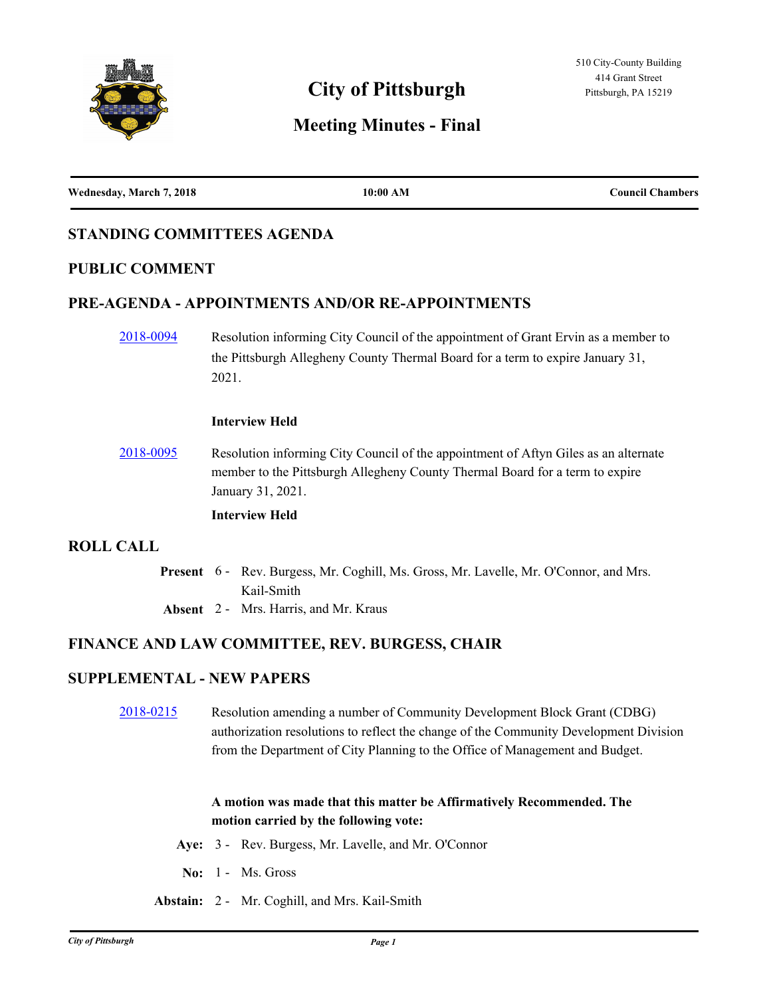

# **Meeting Minutes - Final**

| Wednesday, March 7, 2018 | 10:00 AM | <b>Council Chambers</b> |
|--------------------------|----------|-------------------------|
|                          |          |                         |

# **STANDING COMMITTEES AGENDA**

#### **PUBLIC COMMENT**

## **PRE-AGENDA - APPOINTMENTS AND/OR RE-APPOINTMENTS**

[2018-0094](http://pittsburgh.legistar.com/gateway.aspx?m=l&id=/matter.aspx?key=22393) Resolution informing City Council of the appointment of Grant Ervin as a member to the Pittsburgh Allegheny County Thermal Board for a term to expire January 31, 2021.

#### **Interview Held**

[2018-0095](http://pittsburgh.legistar.com/gateway.aspx?m=l&id=/matter.aspx?key=22394) Resolution informing City Council of the appointment of Aftyn Giles as an alternate member to the Pittsburgh Allegheny County Thermal Board for a term to expire January 31, 2021.

#### **Interview Held**

#### **ROLL CALL**

Present 6 - Rev. Burgess, Mr. Coghill, Ms. Gross, Mr. Lavelle, Mr. O'Connor, and Mrs. Kail-Smith **Absent** 2 - Mrs. Harris, and Mr. Kraus

## **FINANCE AND LAW COMMITTEE, REV. BURGESS, CHAIR**

## **SUPPLEMENTAL - NEW PAPERS**

[2018-0215](http://pittsburgh.legistar.com/gateway.aspx?m=l&id=/matter.aspx?key=22514) Resolution amending a number of Community Development Block Grant (CDBG) authorization resolutions to reflect the change of the Community Development Division from the Department of City Planning to the Office of Management and Budget.

## **A motion was made that this matter be Affirmatively Recommended. The motion carried by the following vote:**

- **Aye:** 3 Rev. Burgess, Mr. Lavelle, and Mr. O'Connor
- **No:** 1 Ms. Gross
- **Abstain:** 2 Mr. Coghill, and Mrs. Kail-Smith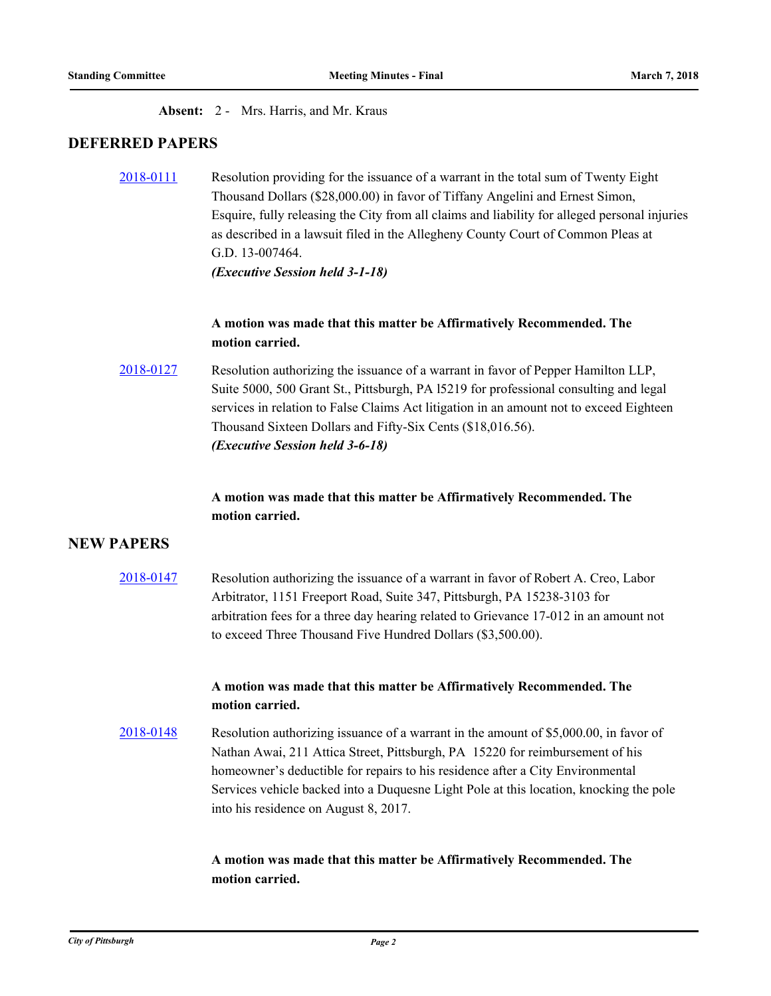**Absent:** 2 - Mrs. Harris, and Mr. Kraus

#### **DEFERRED PAPERS**

[2018-0111](http://pittsburgh.legistar.com/gateway.aspx?m=l&id=/matter.aspx?key=22410) Resolution providing for the issuance of a warrant in the total sum of Twenty Eight Thousand Dollars (\$28,000.00) in favor of Tiffany Angelini and Ernest Simon, Esquire, fully releasing the City from all claims and liability for alleged personal injuries as described in a lawsuit filed in the Allegheny County Court of Common Pleas at G.D. 13-007464. *(Executive Session held 3-1-18)*

## **A motion was made that this matter be Affirmatively Recommended. The motion carried.**

[2018-0127](http://pittsburgh.legistar.com/gateway.aspx?m=l&id=/matter.aspx?key=22426) Resolution authorizing the issuance of a warrant in favor of Pepper Hamilton LLP, Suite 5000, 500 Grant St., Pittsburgh, PA l5219 for professional consulting and legal services in relation to False Claims Act litigation in an amount not to exceed Eighteen Thousand Sixteen Dollars and Fifty-Six Cents (\$18,016.56). *(Executive Session held 3-6-18)*

# **A motion was made that this matter be Affirmatively Recommended. The motion carried.**

## **NEW PAPERS**

[2018-0147](http://pittsburgh.legistar.com/gateway.aspx?m=l&id=/matter.aspx?key=22446) Resolution authorizing the issuance of a warrant in favor of Robert A. Creo, Labor Arbitrator, 1151 Freeport Road, Suite 347, Pittsburgh, PA 15238-3103 for arbitration fees for a three day hearing related to Grievance 17-012 in an amount not to exceed Three Thousand Five Hundred Dollars (\$3,500.00).

## **A motion was made that this matter be Affirmatively Recommended. The motion carried.**

[2018-0148](http://pittsburgh.legistar.com/gateway.aspx?m=l&id=/matter.aspx?key=22447) Resolution authorizing issuance of a warrant in the amount of \$5,000.00, in favor of Nathan Awai, 211 Attica Street, Pittsburgh, PA 15220 for reimbursement of his homeowner's deductible for repairs to his residence after a City Environmental Services vehicle backed into a Duquesne Light Pole at this location, knocking the pole into his residence on August 8, 2017.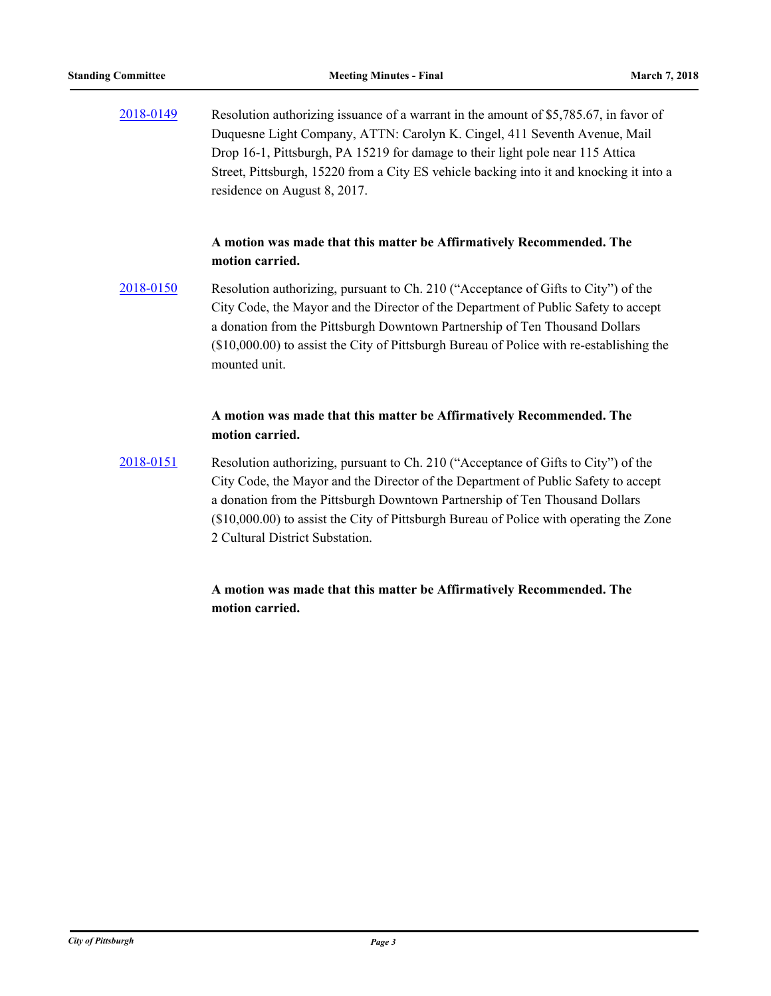[2018-0149](http://pittsburgh.legistar.com/gateway.aspx?m=l&id=/matter.aspx?key=22448) Resolution authorizing issuance of a warrant in the amount of \$5,785.67, in favor of Duquesne Light Company, ATTN: Carolyn K. Cingel, 411 Seventh Avenue, Mail Drop 16-1, Pittsburgh, PA 15219 for damage to their light pole near 115 Attica Street, Pittsburgh, 15220 from a City ES vehicle backing into it and knocking it into a residence on August 8, 2017.

#### **A motion was made that this matter be Affirmatively Recommended. The motion carried.**

[2018-0150](http://pittsburgh.legistar.com/gateway.aspx?m=l&id=/matter.aspx?key=22449) Resolution authorizing, pursuant to Ch. 210 ("Acceptance of Gifts to City") of the City Code, the Mayor and the Director of the Department of Public Safety to accept a donation from the Pittsburgh Downtown Partnership of Ten Thousand Dollars (\$10,000.00) to assist the City of Pittsburgh Bureau of Police with re-establishing the mounted unit.

## **A motion was made that this matter be Affirmatively Recommended. The motion carried.**

[2018-0151](http://pittsburgh.legistar.com/gateway.aspx?m=l&id=/matter.aspx?key=22450) Resolution authorizing, pursuant to Ch. 210 ("Acceptance of Gifts to City") of the City Code, the Mayor and the Director of the Department of Public Safety to accept a donation from the Pittsburgh Downtown Partnership of Ten Thousand Dollars (\$10,000.00) to assist the City of Pittsburgh Bureau of Police with operating the Zone 2 Cultural District Substation.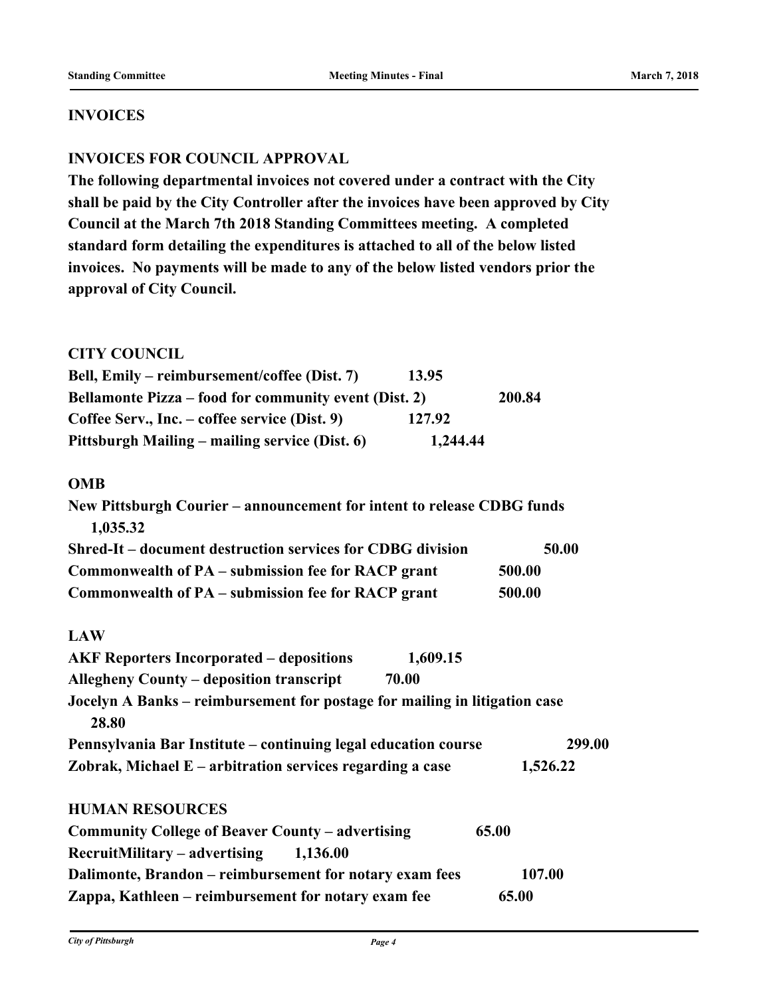# **INVOICES**

# **INVOICES FOR COUNCIL APPROVAL**

**The following departmental invoices not covered under a contract with the City shall be paid by the City Controller after the invoices have been approved by City Council at the March 7th 2018 Standing Committees meeting. A completed standard form detailing the expenditures is attached to all of the below listed invoices. No payments will be made to any of the below listed vendors prior the approval of City Council.** 

# **CITY COUNCIL**

| Bell, Emily – reimbursement/coffee (Dist. 7)          | 13.95    |        |
|-------------------------------------------------------|----------|--------|
| Bellamonte Pizza – food for community event (Dist. 2) |          | 200.84 |
| Coffee Serv., Inc. – coffee service (Dist. 9)         | 127.92   |        |
| Pittsburgh Mailing – mailing service (Dist. 6)        | 1,244.44 |        |

## **OMB**

| New Pittsburgh Courier – announcement for intent to release CDBG funds |        |
|------------------------------------------------------------------------|--------|
| 1,035.32                                                               |        |
| Shred-It – document destruction services for CDBG division             | 50.00  |
| Commonwealth of PA – submission fee for RACP grant                     | 500.00 |
| Commonwealth of PA – submission fee for RACP grant                     | 500.00 |

## **LAW**

| <b>AKF Reporters Incorporated – depositions</b>                            | 1,609.15 |          |
|----------------------------------------------------------------------------|----------|----------|
| <b>Allegheny County – deposition transcript</b>                            | 70.00    |          |
| Jocelyn A Banks – reimbursement for postage for mailing in litigation case |          |          |
| 28.80                                                                      |          |          |
| Pennsylvania Bar Institute – continuing legal education course             |          | 299.00   |
| Zobrak, Michael $E$ – arbitration services regarding a case                |          | 1,526.22 |
|                                                                            |          |          |

# **HUMAN RESOURCES**

| <b>Community College of Beaver County – advertising</b> | 65.00  |
|---------------------------------------------------------|--------|
| RecruitMilitary – advertising<br>1,136.00               |        |
| Dalimonte, Brandon – reimbursement for notary exam fees | 107.00 |
| Zappa, Kathleen – reimbursement for notary exam fee     | 65.00  |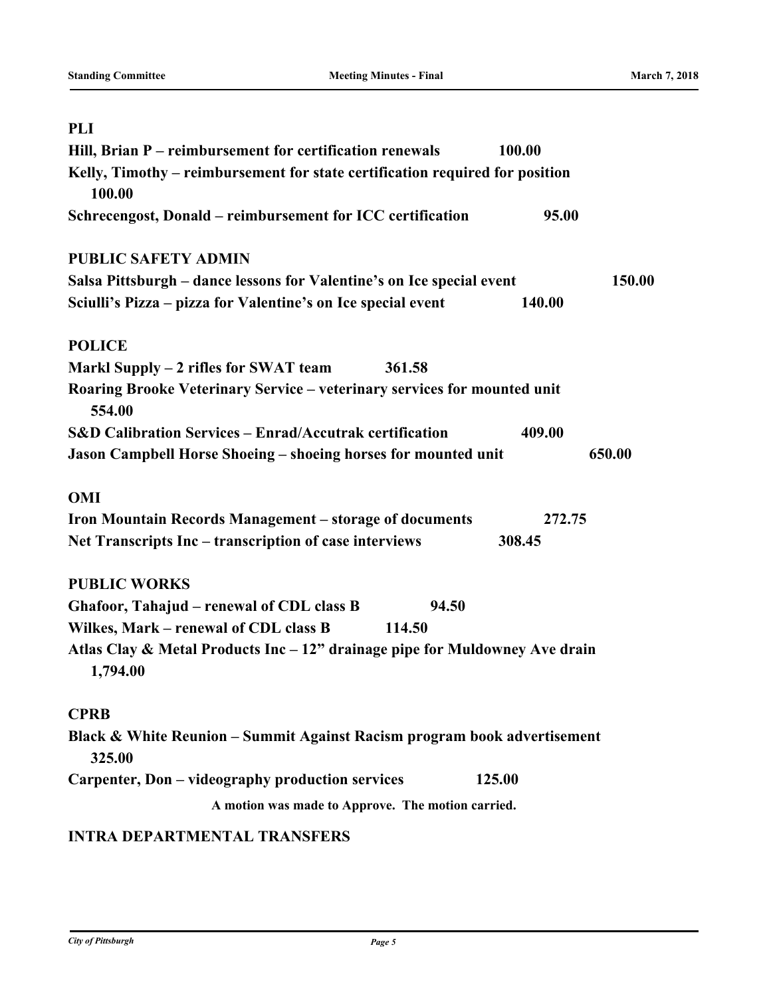| <b>PLI</b>                                                                              |
|-----------------------------------------------------------------------------------------|
| Hill, Brian P - reimbursement for certification renewals<br>100.00                      |
| Kelly, Timothy – reimbursement for state certification required for position<br>100.00  |
| Schrecengost, Donald – reimbursement for ICC certification<br>95.00                     |
| <b>PUBLIC SAFETY ADMIN</b>                                                              |
| 150.00<br>Salsa Pittsburgh – dance lessons for Valentine's on Ice special event         |
| Sciulli's Pizza – pizza for Valentine's on Ice special event<br>140.00                  |
| <b>POLICE</b>                                                                           |
| Markl Supply - 2 rifles for SWAT team<br>361.58                                         |
| Roaring Brooke Veterinary Service – veterinary services for mounted unit<br>554.00      |
| <b>S&amp;D Calibration Services - Enrad/Accutrak certification</b><br>409.00            |
| Jason Campbell Horse Shoeing – shoeing horses for mounted unit<br>650.00                |
| <b>OMI</b>                                                                              |
| <b>Iron Mountain Records Management – storage of documents</b><br>272.75                |
| Net Transcripts Inc – transcription of case interviews<br>308.45                        |
| <b>PUBLIC WORKS</b>                                                                     |
| Ghafoor, Tahajud – renewal of CDL class B<br>94.50                                      |
| Wilkes, Mark - renewal of CDL class B<br>114.50                                         |
| Atlas Clay & Metal Products Inc - 12" drainage pipe for Muldowney Ave drain<br>1,794.00 |
| <b>CPRB</b>                                                                             |
| Black & White Reunion - Summit Against Racism program book advertisement<br>325.00      |
| Carpenter, Don – videography production services<br>125.00                              |
| A motion was made to Approve. The motion carried.                                       |

# **INTRA DEPARTMENTAL TRANSFERS**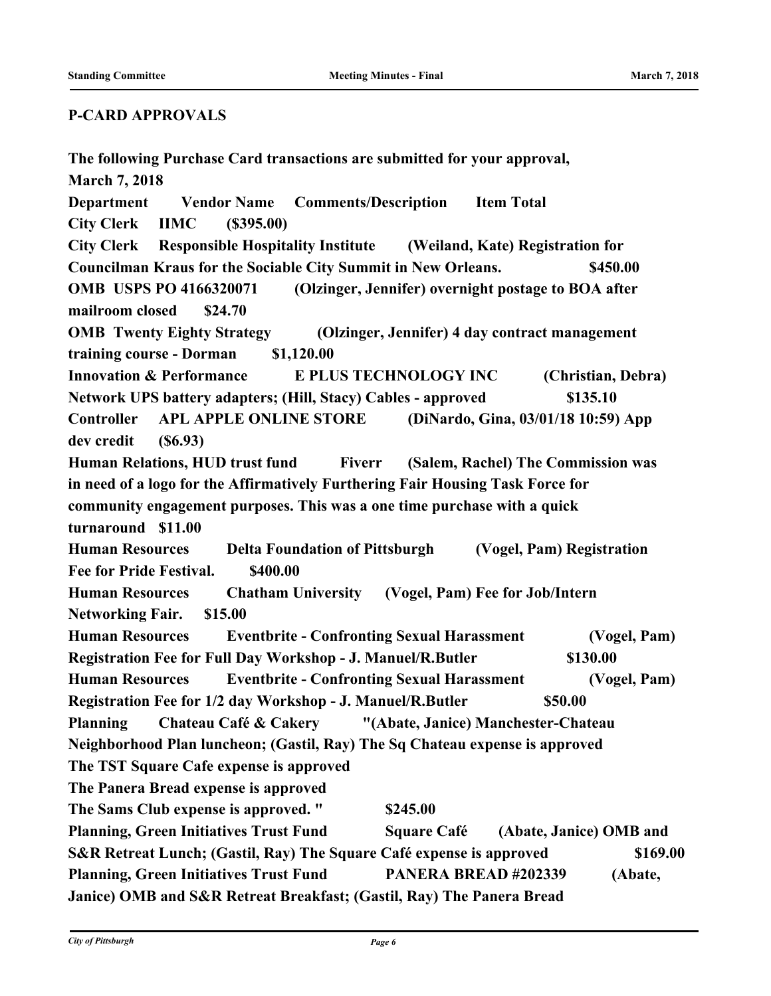# **P-CARD APPROVALS**

**The following Purchase Card transactions are submitted for your approval, March 7, 2018 Department Vendor Name Comments/Description Item Total City Clerk IIMC (\$395.00) City Clerk Responsible Hospitality Institute (Weiland, Kate) Registration for Councilman Kraus for the Sociable City Summit in New Orleans. \$450.00 OMB USPS PO 4166320071 (Olzinger, Jennifer) overnight postage to BOA after mailroom closed \$24.70 OMB Twenty Eighty Strategy (Olzinger, Jennifer) 4 day contract management training course - Dorman \$1,120.00 Innovation & Performance E PLUS TECHNOLOGY INC (Christian, Debra) Network UPS battery adapters; (Hill, Stacy) Cables - approved \$135.10 Controller APL APPLE ONLINE STORE (DiNardo, Gina, 03/01/18 10:59) App dev credit (\$6.93) Human Relations, HUD trust fund Fiverr (Salem, Rachel) The Commission was in need of a logo for the Affirmatively Furthering Fair Housing Task Force for community engagement purposes. This was a one time purchase with a quick turnaround \$11.00 Human Resources Delta Foundation of Pittsburgh (Vogel, Pam) Registration Fee for Pride Festival. \$400.00 Human Resources Chatham University (Vogel, Pam) Fee for Job/Intern Networking Fair. \$15.00 Human Resources Eventbrite - Confronting Sexual Harassment (Vogel, Pam) Registration Fee for Full Day Workshop - J. Manuel/R.Butler \$130.00 Human Resources Eventbrite - Confronting Sexual Harassment (Vogel, Pam) Registration Fee for 1/2 day Workshop - J. Manuel/R.Butler \$50.00 Planning Chateau Café & Cakery "(Abate, Janice) Manchester-Chateau Neighborhood Plan luncheon; (Gastil, Ray) The Sq Chateau expense is approved The TST Square Cafe expense is approved The Panera Bread expense is approved The Sams Club expense is approved. " \$245.00 Planning, Green Initiatives Trust Fund Square Café (Abate, Janice) OMB and S&R Retreat Lunch; (Gastil, Ray) The Square Café expense is approved \$169.00 Planning, Green Initiatives Trust Fund PANERA BREAD #202339 (Abate, Janice) OMB and S&R Retreat Breakfast; (Gastil, Ray) The Panera Bread**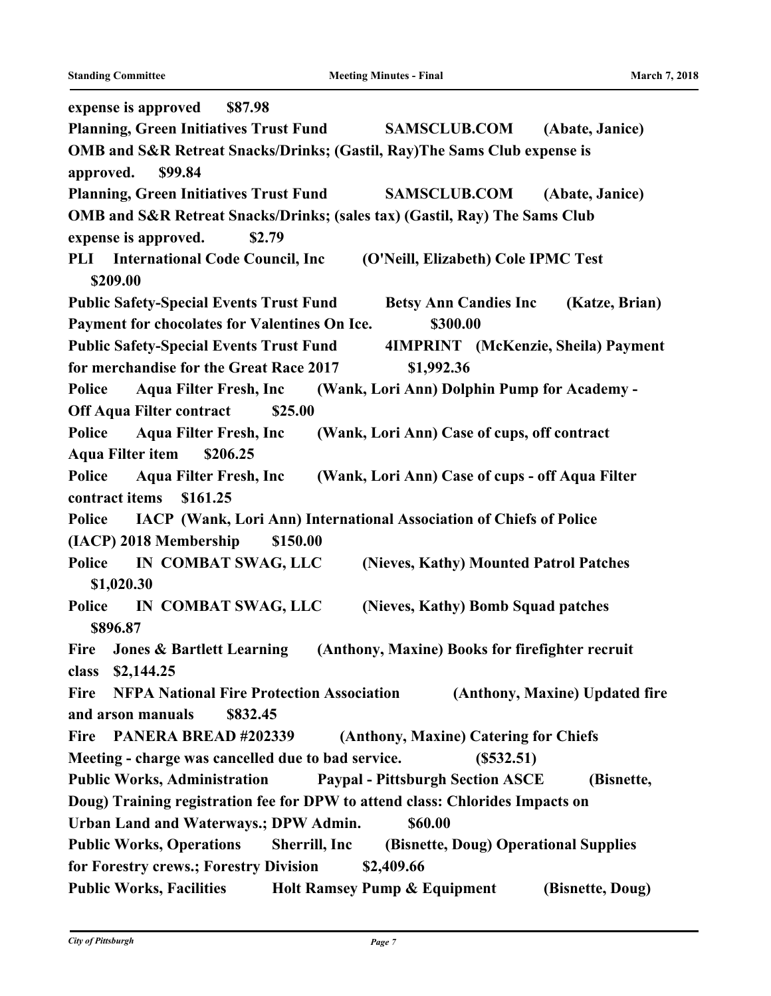**expense is approved \$87.98 Planning, Green Initiatives Trust Fund SAMSCLUB.COM (Abate, Janice) OMB and S&R Retreat Snacks/Drinks; (Gastil, Ray)The Sams Club expense is approved. \$99.84 Planning, Green Initiatives Trust Fund SAMSCLUB.COM (Abate, Janice) OMB and S&R Retreat Snacks/Drinks; (sales tax) (Gastil, Ray) The Sams Club expense is approved. \$2.79 PLI International Code Council, Inc (O'Neill, Elizabeth) Cole IPMC Test \$209.00 Public Safety-Special Events Trust Fund Betsy Ann Candies Inc (Katze, Brian) Payment for chocolates for Valentines On Ice. \$300.00 Public Safety-Special Events Trust Fund 4IMPRINT (McKenzie, Sheila) Payment for merchandise for the Great Race 2017 \$1,992.36 Police Aqua Filter Fresh, Inc (Wank, Lori Ann) Dolphin Pump for Academy - Off Aqua Filter contract \$25.00 Police Aqua Filter Fresh, Inc (Wank, Lori Ann) Case of cups, off contract Aqua Filter item \$206.25 Police Aqua Filter Fresh, Inc (Wank, Lori Ann) Case of cups - off Aqua Filter contract items \$161.25 Police IACP (Wank, Lori Ann) International Association of Chiefs of Police (IACP) 2018 Membership \$150.00 Police IN COMBAT SWAG, LLC (Nieves, Kathy) Mounted Patrol Patches \$1,020.30 Police IN COMBAT SWAG, LLC (Nieves, Kathy) Bomb Squad patches \$896.87 Fire Jones & Bartlett Learning (Anthony, Maxine) Books for firefighter recruit class \$2,144.25 Fire NFPA National Fire Protection Association (Anthony, Maxine) Updated fire and arson manuals \$832.45 Fire PANERA BREAD #202339 (Anthony, Maxine) Catering for Chiefs Meeting - charge was cancelled due to bad service. (\$532.51) Public Works, Administration Paypal - Pittsburgh Section ASCE (Bisnette, Doug) Training registration fee for DPW to attend class: Chlorides Impacts on Urban Land and Waterways.; DPW Admin. \$60.00 Public Works, Operations Sherrill, Inc (Bisnette, Doug) Operational Supplies for Forestry crews.; Forestry Division \$2,409.66 Public Works, Facilities Holt Ramsey Pump & Equipment (Bisnette, Doug)**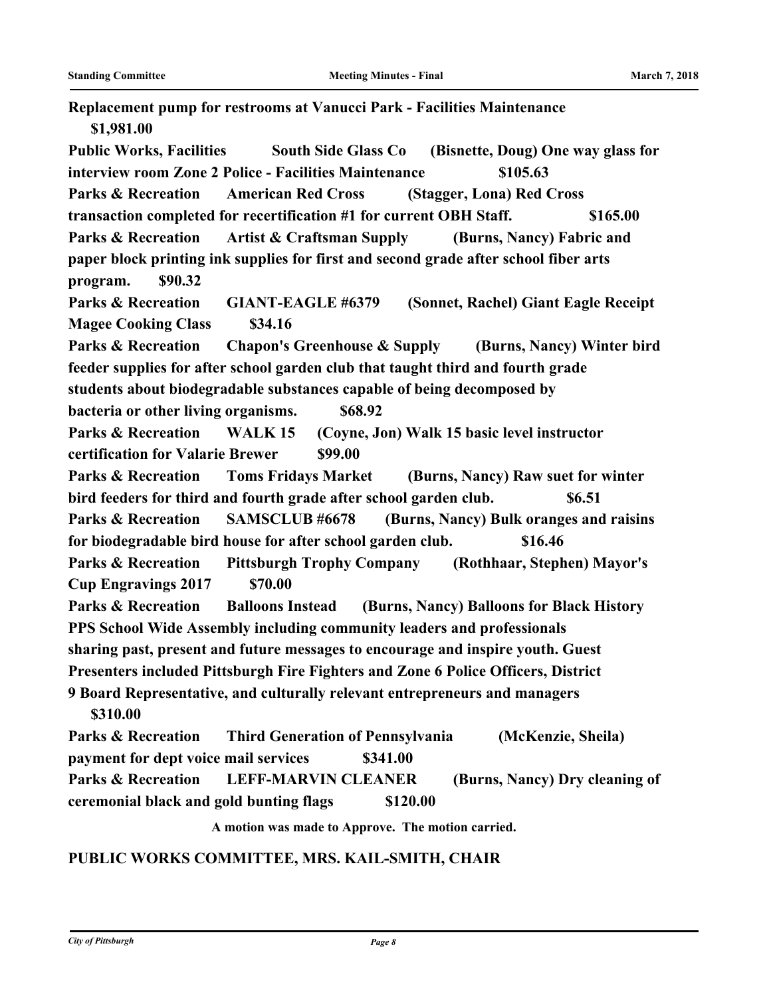**Replacement pump for restrooms at Vanucci Park - Facilities Maintenance \$1,981.00 Public Works, Facilities South Side Glass Co (Bisnette, Doug) One way glass for interview room Zone 2 Police - Facilities Maintenance \$105.63 Parks & Recreation American Red Cross (Stagger, Lona) Red Cross transaction completed for recertification #1 for current OBH Staff. \$165.00 Parks & Recreation Artist & Craftsman Supply (Burns, Nancy) Fabric and paper block printing ink supplies for first and second grade after school fiber arts program. \$90.32 Parks & Recreation GIANT-EAGLE #6379 (Sonnet, Rachel) Giant Eagle Receipt Magee Cooking Class \$34.16 Parks & Recreation Chapon's Greenhouse & Supply (Burns, Nancy) Winter bird feeder supplies for after school garden club that taught third and fourth grade students about biodegradable substances capable of being decomposed by bacteria or other living organisms. \$68.92 Parks & Recreation WALK 15 (Coyne, Jon) Walk 15 basic level instructor certification for Valarie Brewer \$99.00 Parks & Recreation Toms Fridays Market (Burns, Nancy) Raw suet for winter bird feeders for third and fourth grade after school garden club. \$6.51 Parks & Recreation SAMSCLUB #6678 (Burns, Nancy) Bulk oranges and raisins for biodegradable bird house for after school garden club. \$16.46 Parks & Recreation Pittsburgh Trophy Company (Rothhaar, Stephen) Mayor's Cup Engravings 2017 \$70.00 Parks & Recreation Balloons Instead (Burns, Nancy) Balloons for Black History PPS School Wide Assembly including community leaders and professionals sharing past, present and future messages to encourage and inspire youth. Guest Presenters included Pittsburgh Fire Fighters and Zone 6 Police Officers, District 9 Board Representative, and culturally relevant entrepreneurs and managers \$310.00 Parks & Recreation Third Generation of Pennsylvania (McKenzie, Sheila) payment for dept voice mail services \$341.00 Parks & Recreation LEFF-MARVIN CLEANER (Burns, Nancy) Dry cleaning of ceremonial black and gold bunting flags \$120.00**

**A motion was made to Approve. The motion carried.**

## **PUBLIC WORKS COMMITTEE, MRS. KAIL-SMITH, CHAIR**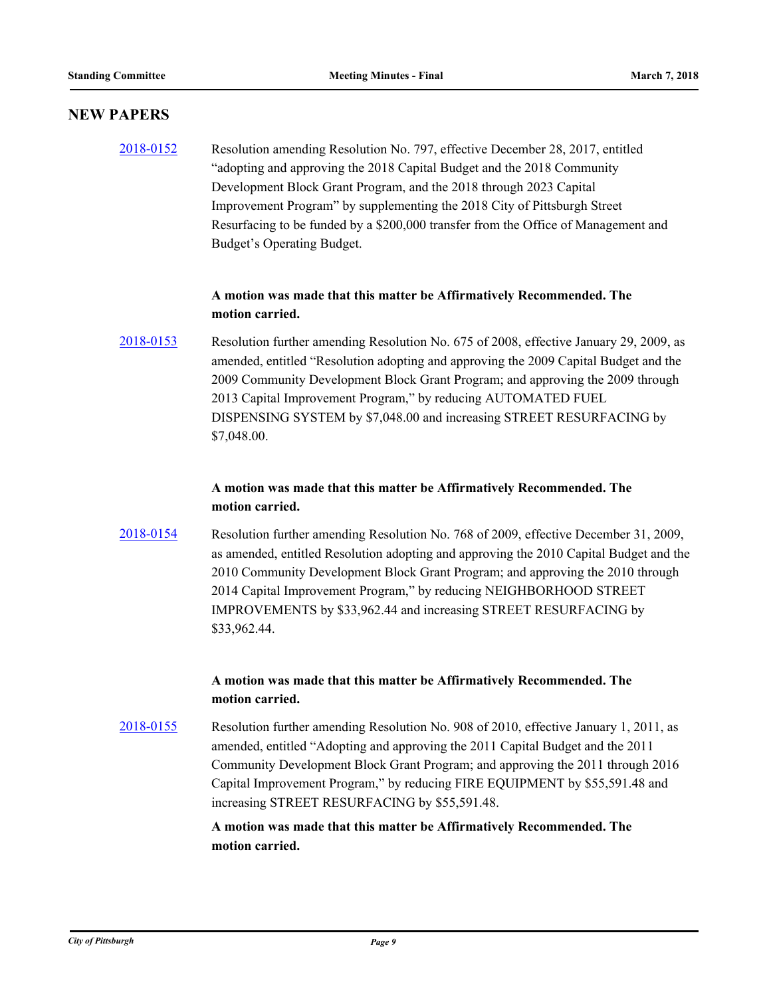#### **NEW PAPERS**

# [2018-0152](http://pittsburgh.legistar.com/gateway.aspx?m=l&id=/matter.aspx?key=22451) Resolution amending Resolution No. 797, effective December 28, 2017, entitled "adopting and approving the 2018 Capital Budget and the 2018 Community Development Block Grant Program, and the 2018 through 2023 Capital Improvement Program" by supplementing the 2018 City of Pittsburgh Street Resurfacing to be funded by a \$200,000 transfer from the Office of Management and Budget's Operating Budget.

#### **A motion was made that this matter be Affirmatively Recommended. The motion carried.**

[2018-0153](http://pittsburgh.legistar.com/gateway.aspx?m=l&id=/matter.aspx?key=22452) Resolution further amending Resolution No. 675 of 2008, effective January 29, 2009, as amended, entitled "Resolution adopting and approving the 2009 Capital Budget and the 2009 Community Development Block Grant Program; and approving the 2009 through 2013 Capital Improvement Program," by reducing AUTOMATED FUEL DISPENSING SYSTEM by \$7,048.00 and increasing STREET RESURFACING by \$7,048.00.

#### **A motion was made that this matter be Affirmatively Recommended. The motion carried.**

[2018-0154](http://pittsburgh.legistar.com/gateway.aspx?m=l&id=/matter.aspx?key=22453) Resolution further amending Resolution No. 768 of 2009, effective December 31, 2009, as amended, entitled Resolution adopting and approving the 2010 Capital Budget and the 2010 Community Development Block Grant Program; and approving the 2010 through 2014 Capital Improvement Program," by reducing NEIGHBORHOOD STREET IMPROVEMENTS by \$33,962.44 and increasing STREET RESURFACING by \$33,962.44.

#### **A motion was made that this matter be Affirmatively Recommended. The motion carried.**

[2018-0155](http://pittsburgh.legistar.com/gateway.aspx?m=l&id=/matter.aspx?key=22454) Resolution further amending Resolution No. 908 of 2010, effective January 1, 2011, as amended, entitled "Adopting and approving the 2011 Capital Budget and the 2011 Community Development Block Grant Program; and approving the 2011 through 2016 Capital Improvement Program," by reducing FIRE EQUIPMENT by \$55,591.48 and increasing STREET RESURFACING by \$55,591.48.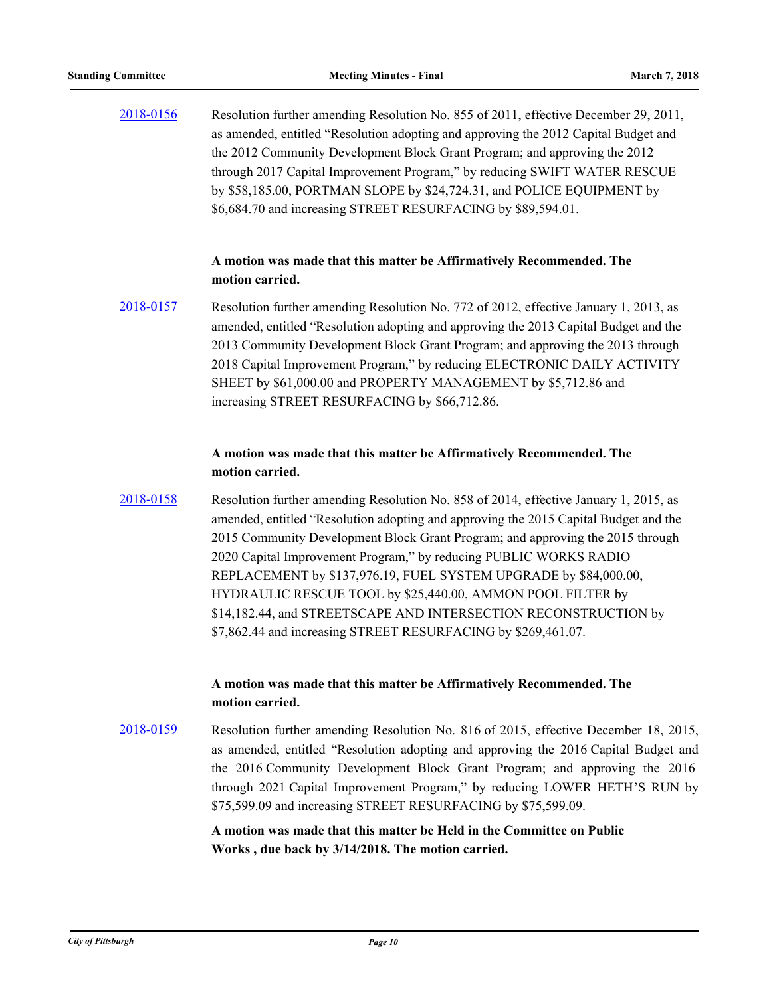[2018-0156](http://pittsburgh.legistar.com/gateway.aspx?m=l&id=/matter.aspx?key=22455) Resolution further amending Resolution No. 855 of 2011, effective December 29, 2011, as amended, entitled "Resolution adopting and approving the 2012 Capital Budget and the 2012 Community Development Block Grant Program; and approving the 2012 through 2017 Capital Improvement Program," by reducing SWIFT WATER RESCUE by \$58,185.00, PORTMAN SLOPE by \$24,724.31, and POLICE EQUIPMENT by \$6,684.70 and increasing STREET RESURFACING by \$89,594.01.

#### **A motion was made that this matter be Affirmatively Recommended. The motion carried.**

[2018-0157](http://pittsburgh.legistar.com/gateway.aspx?m=l&id=/matter.aspx?key=22456) Resolution further amending Resolution No. 772 of 2012, effective January 1, 2013, as amended, entitled "Resolution adopting and approving the 2013 Capital Budget and the 2013 Community Development Block Grant Program; and approving the 2013 through 2018 Capital Improvement Program," by reducing ELECTRONIC DAILY ACTIVITY SHEET by \$61,000.00 and PROPERTY MANAGEMENT by \$5,712.86 and increasing STREET RESURFACING by \$66,712.86.

#### **A motion was made that this matter be Affirmatively Recommended. The motion carried.**

[2018-0158](http://pittsburgh.legistar.com/gateway.aspx?m=l&id=/matter.aspx?key=22457) Resolution further amending Resolution No. 858 of 2014, effective January 1, 2015, as amended, entitled "Resolution adopting and approving the 2015 Capital Budget and the 2015 Community Development Block Grant Program; and approving the 2015 through 2020 Capital Improvement Program," by reducing PUBLIC WORKS RADIO REPLACEMENT by \$137,976.19, FUEL SYSTEM UPGRADE by \$84,000.00, HYDRAULIC RESCUE TOOL by \$25,440.00, AMMON POOL FILTER by \$14,182.44, and STREETSCAPE AND INTERSECTION RECONSTRUCTION by \$7,862.44 and increasing STREET RESURFACING by \$269,461.07.

### **A motion was made that this matter be Affirmatively Recommended. The motion carried.**

[2018-0159](http://pittsburgh.legistar.com/gateway.aspx?m=l&id=/matter.aspx?key=22458) Resolution further amending Resolution No. 816 of 2015, effective December 18, 2015, as amended, entitled "Resolution adopting and approving the 2016 Capital Budget and the 2016 Community Development Block Grant Program; and approving the 2016 through 2021 Capital Improvement Program," by reducing LOWER HETH'S RUN by \$75,599.09 and increasing STREET RESURFACING by \$75,599.09.

> **A motion was made that this matter be Held in the Committee on Public Works , due back by 3/14/2018. The motion carried.**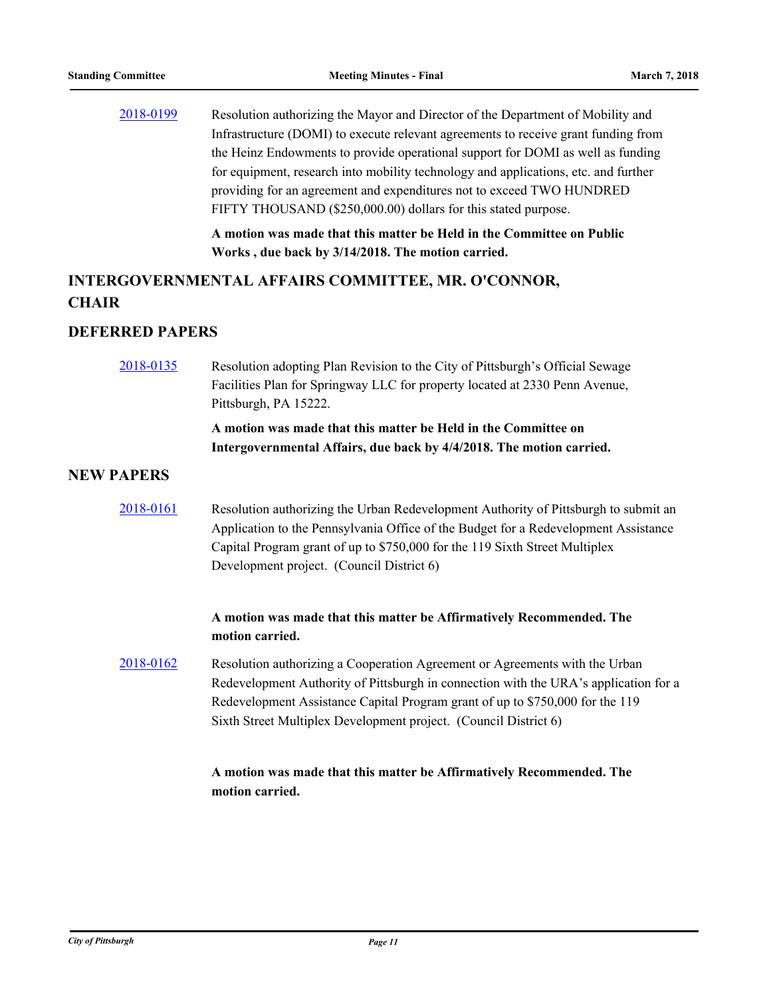| 2018-0199 | Resolution authorizing the Mayor and Director of the Department of Mobility and     |
|-----------|-------------------------------------------------------------------------------------|
|           | Infrastructure (DOMI) to execute relevant agreements to receive grant funding from  |
|           | the Heinz Endowments to provide operational support for DOMI as well as funding     |
|           | for equipment, research into mobility technology and applications, etc. and further |
|           | providing for an agreement and expenditures not to exceed TWO HUNDRED               |
|           | FIFTY THOUSAND (\$250,000.00) dollars for this stated purpose.                      |
|           |                                                                                     |

**A motion was made that this matter be Held in the Committee on Public Works , due back by 3/14/2018. The motion carried.**

# **INTERGOVERNMENTAL AFFAIRS COMMITTEE, MR. O'CONNOR, CHAIR**

#### **DEFERRED PAPERS**

[2018-0135](http://pittsburgh.legistar.com/gateway.aspx?m=l&id=/matter.aspx?key=22434) Resolution adopting Plan Revision to the City of Pittsburgh's Official Sewage Facilities Plan for Springway LLC for property located at 2330 Penn Avenue, Pittsburgh, PA 15222.

> **A motion was made that this matter be Held in the Committee on Intergovernmental Affairs, due back by 4/4/2018. The motion carried.**

#### **NEW PAPERS**

[2018-0161](http://pittsburgh.legistar.com/gateway.aspx?m=l&id=/matter.aspx?key=22460) Resolution authorizing the Urban Redevelopment Authority of Pittsburgh to submit an Application to the Pennsylvania Office of the Budget for a Redevelopment Assistance Capital Program grant of up to \$750,000 for the 119 Sixth Street Multiplex Development project. (Council District 6)

#### **A motion was made that this matter be Affirmatively Recommended. The motion carried.**

[2018-0162](http://pittsburgh.legistar.com/gateway.aspx?m=l&id=/matter.aspx?key=22461) Resolution authorizing a Cooperation Agreement or Agreements with the Urban Redevelopment Authority of Pittsburgh in connection with the URA's application for a Redevelopment Assistance Capital Program grant of up to \$750,000 for the 119 Sixth Street Multiplex Development project. (Council District 6)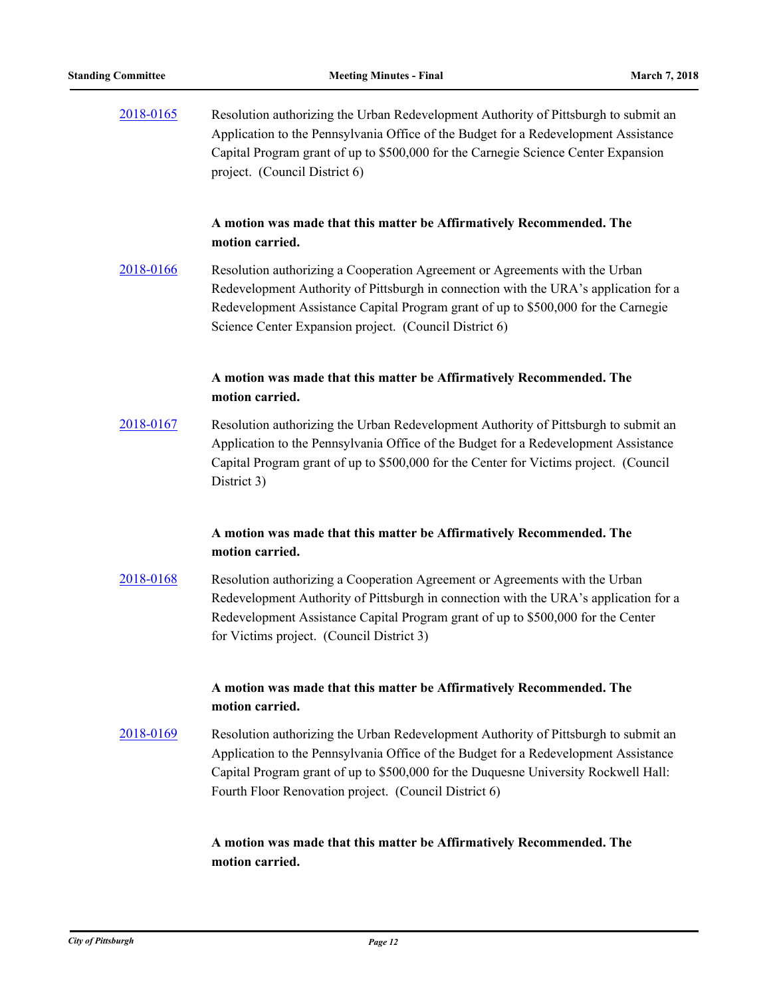| 2018-0165 | Resolution authorizing the Urban Redevelopment Authority of Pittsburgh to submit an |
|-----------|-------------------------------------------------------------------------------------|
|           | Application to the Pennsylvania Office of the Budget for a Redevelopment Assistance |
|           | Capital Program grant of up to \$500,000 for the Carnegie Science Center Expansion  |
|           | project. (Council District 6)                                                       |

[2018-0166](http://pittsburgh.legistar.com/gateway.aspx?m=l&id=/matter.aspx?key=22465) Resolution authorizing a Cooperation Agreement or Agreements with the Urban Redevelopment Authority of Pittsburgh in connection with the URA's application for a Redevelopment Assistance Capital Program grant of up to \$500,000 for the Carnegie Science Center Expansion project. (Council District 6)

## **A motion was made that this matter be Affirmatively Recommended. The motion carried.**

[2018-0167](http://pittsburgh.legistar.com/gateway.aspx?m=l&id=/matter.aspx?key=22466) Resolution authorizing the Urban Redevelopment Authority of Pittsburgh to submit an Application to the Pennsylvania Office of the Budget for a Redevelopment Assistance Capital Program grant of up to \$500,000 for the Center for Victims project. (Council District 3)

## **A motion was made that this matter be Affirmatively Recommended. The motion carried.**

[2018-0168](http://pittsburgh.legistar.com/gateway.aspx?m=l&id=/matter.aspx?key=22467) Resolution authorizing a Cooperation Agreement or Agreements with the Urban Redevelopment Authority of Pittsburgh in connection with the URA's application for a Redevelopment Assistance Capital Program grant of up to \$500,000 for the Center for Victims project. (Council District 3)

## **A motion was made that this matter be Affirmatively Recommended. The motion carried.**

[2018-0169](http://pittsburgh.legistar.com/gateway.aspx?m=l&id=/matter.aspx?key=22468) Resolution authorizing the Urban Redevelopment Authority of Pittsburgh to submit an Application to the Pennsylvania Office of the Budget for a Redevelopment Assistance Capital Program grant of up to \$500,000 for the Duquesne University Rockwell Hall: Fourth Floor Renovation project. (Council District 6)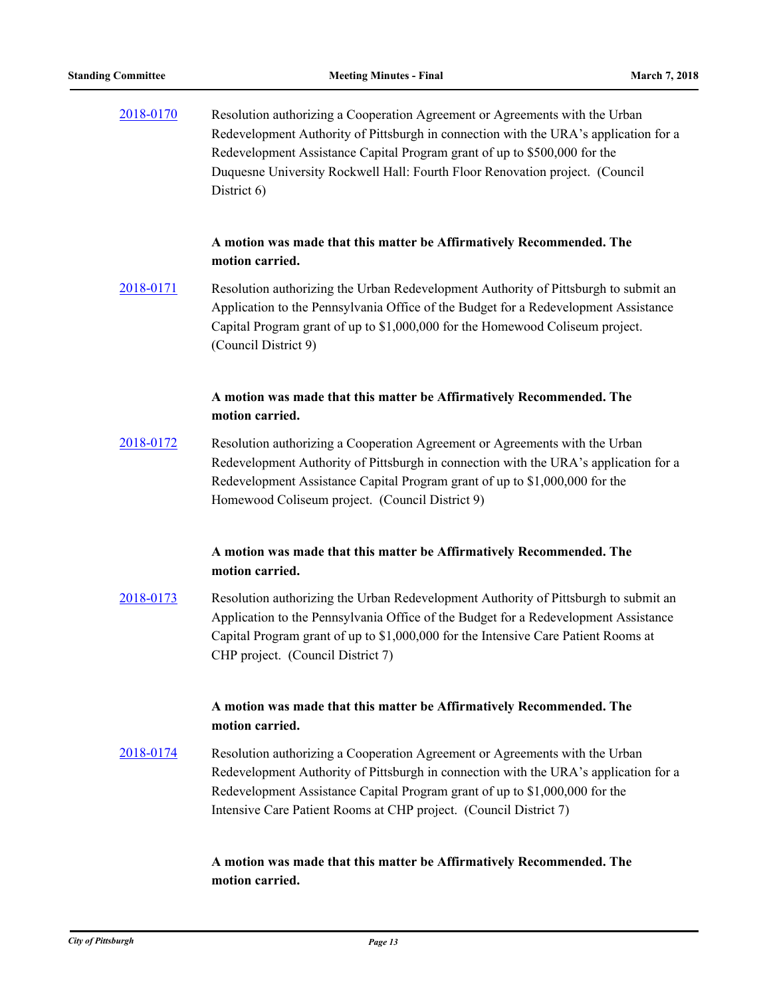| 2018-0170 | Resolution authorizing a Cooperation Agreement or Agreements with the Urban          |
|-----------|--------------------------------------------------------------------------------------|
|           | Redevelopment Authority of Pittsburgh in connection with the URA's application for a |
|           | Redevelopment Assistance Capital Program grant of up to \$500,000 for the            |
|           | Duquesne University Rockwell Hall: Fourth Floor Renovation project. (Council         |
|           | District $6$ )                                                                       |

[2018-0171](http://pittsburgh.legistar.com/gateway.aspx?m=l&id=/matter.aspx?key=22470) Resolution authorizing the Urban Redevelopment Authority of Pittsburgh to submit an Application to the Pennsylvania Office of the Budget for a Redevelopment Assistance Capital Program grant of up to \$1,000,000 for the Homewood Coliseum project. (Council District 9)

#### **A motion was made that this matter be Affirmatively Recommended. The motion carried.**

[2018-0172](http://pittsburgh.legistar.com/gateway.aspx?m=l&id=/matter.aspx?key=22471) Resolution authorizing a Cooperation Agreement or Agreements with the Urban Redevelopment Authority of Pittsburgh in connection with the URA's application for a Redevelopment Assistance Capital Program grant of up to \$1,000,000 for the Homewood Coliseum project. (Council District 9)

# **A motion was made that this matter be Affirmatively Recommended. The motion carried.**

[2018-0173](http://pittsburgh.legistar.com/gateway.aspx?m=l&id=/matter.aspx?key=22472) Resolution authorizing the Urban Redevelopment Authority of Pittsburgh to submit an Application to the Pennsylvania Office of the Budget for a Redevelopment Assistance Capital Program grant of up to \$1,000,000 for the Intensive Care Patient Rooms at CHP project. (Council District 7)

# **A motion was made that this matter be Affirmatively Recommended. The motion carried.**

[2018-0174](http://pittsburgh.legistar.com/gateway.aspx?m=l&id=/matter.aspx?key=22473) Resolution authorizing a Cooperation Agreement or Agreements with the Urban Redevelopment Authority of Pittsburgh in connection with the URA's application for a Redevelopment Assistance Capital Program grant of up to \$1,000,000 for the Intensive Care Patient Rooms at CHP project. (Council District 7)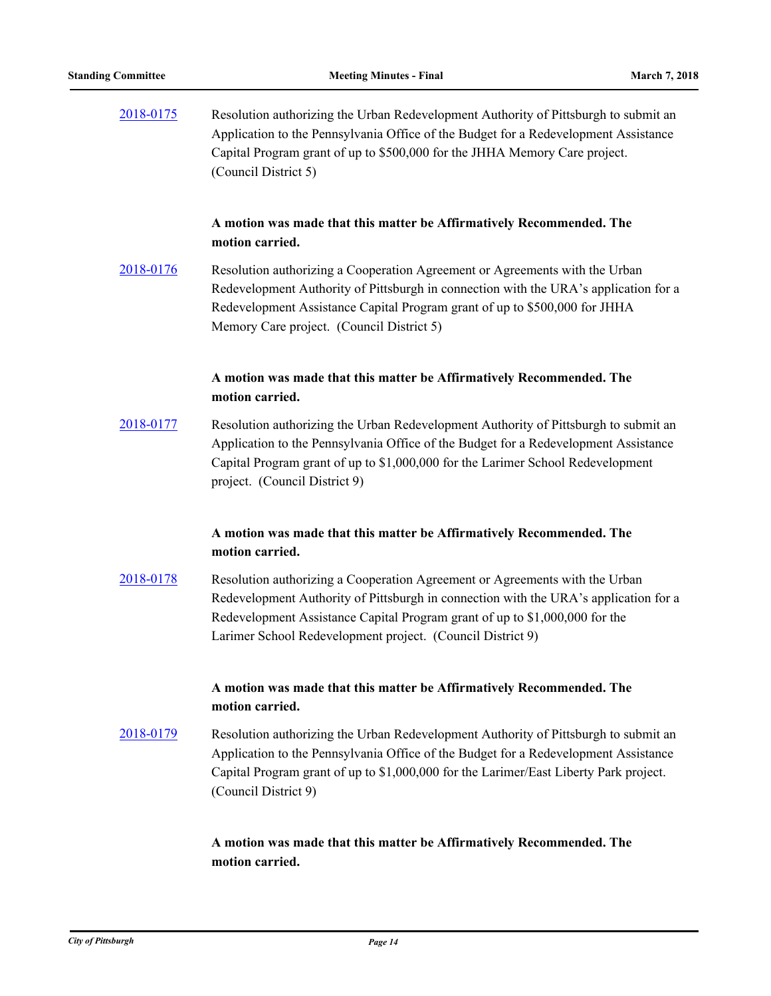| 2018-0175 | Resolution authorizing the Urban Redevelopment Authority of Pittsburgh to submit an |
|-----------|-------------------------------------------------------------------------------------|
|           | Application to the Pennsylvania Office of the Budget for a Redevelopment Assistance |
|           | Capital Program grant of up to \$500,000 for the JHHA Memory Care project.          |
|           | (Council District 5)                                                                |

[2018-0176](http://pittsburgh.legistar.com/gateway.aspx?m=l&id=/matter.aspx?key=22475) Resolution authorizing a Cooperation Agreement or Agreements with the Urban Redevelopment Authority of Pittsburgh in connection with the URA's application for a Redevelopment Assistance Capital Program grant of up to \$500,000 for JHHA Memory Care project. (Council District 5)

## **A motion was made that this matter be Affirmatively Recommended. The motion carried.**

[2018-0177](http://pittsburgh.legistar.com/gateway.aspx?m=l&id=/matter.aspx?key=22476) Resolution authorizing the Urban Redevelopment Authority of Pittsburgh to submit an Application to the Pennsylvania Office of the Budget for a Redevelopment Assistance Capital Program grant of up to \$1,000,000 for the Larimer School Redevelopment project. (Council District 9)

# **A motion was made that this matter be Affirmatively Recommended. The motion carried.**

[2018-0178](http://pittsburgh.legistar.com/gateway.aspx?m=l&id=/matter.aspx?key=22477) Resolution authorizing a Cooperation Agreement or Agreements with the Urban Redevelopment Authority of Pittsburgh in connection with the URA's application for a Redevelopment Assistance Capital Program grant of up to \$1,000,000 for the Larimer School Redevelopment project. (Council District 9)

# **A motion was made that this matter be Affirmatively Recommended. The motion carried.**

[2018-0179](http://pittsburgh.legistar.com/gateway.aspx?m=l&id=/matter.aspx?key=22478) Resolution authorizing the Urban Redevelopment Authority of Pittsburgh to submit an Application to the Pennsylvania Office of the Budget for a Redevelopment Assistance Capital Program grant of up to \$1,000,000 for the Larimer/East Liberty Park project. (Council District 9)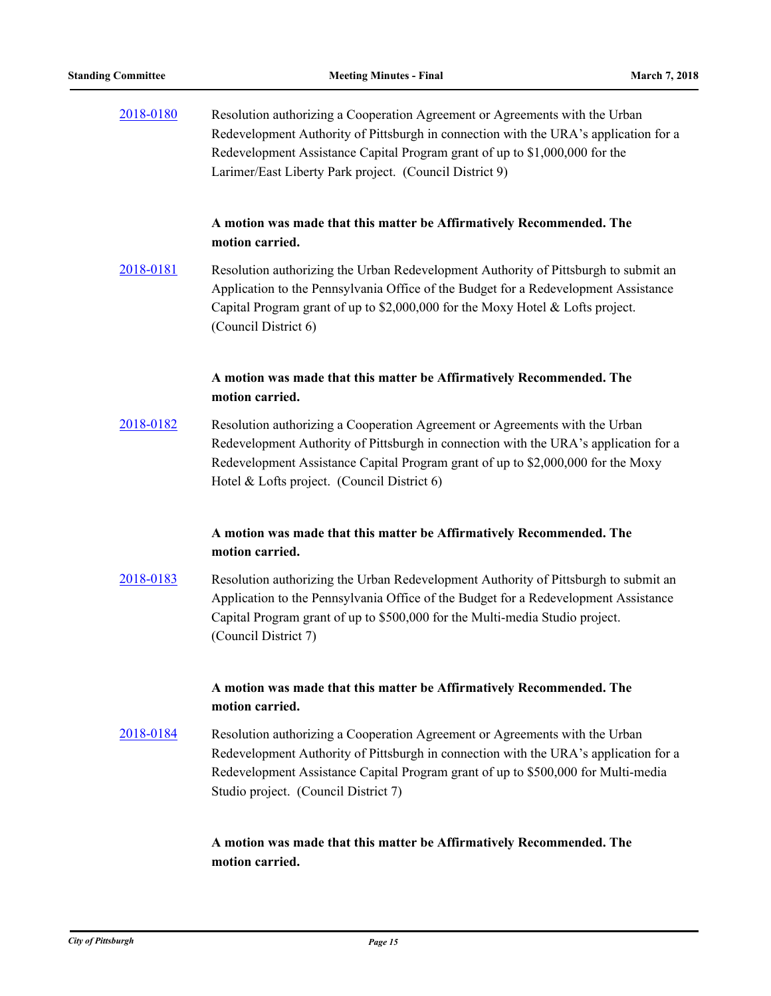| 2018-0180 | Resolution authorizing a Cooperation Agreement or Agreements with the Urban          |
|-----------|--------------------------------------------------------------------------------------|
|           | Redevelopment Authority of Pittsburgh in connection with the URA's application for a |
|           | Redevelopment Assistance Capital Program grant of up to \$1,000,000 for the          |
|           | Larimer/East Liberty Park project. (Council District 9)                              |

[2018-0181](http://pittsburgh.legistar.com/gateway.aspx?m=l&id=/matter.aspx?key=22480) Resolution authorizing the Urban Redevelopment Authority of Pittsburgh to submit an Application to the Pennsylvania Office of the Budget for a Redevelopment Assistance Capital Program grant of up to \$2,000,000 for the Moxy Hotel & Lofts project. (Council District 6)

## **A motion was made that this matter be Affirmatively Recommended. The motion carried.**

[2018-0182](http://pittsburgh.legistar.com/gateway.aspx?m=l&id=/matter.aspx?key=22481) Resolution authorizing a Cooperation Agreement or Agreements with the Urban Redevelopment Authority of Pittsburgh in connection with the URA's application for a Redevelopment Assistance Capital Program grant of up to \$2,000,000 for the Moxy Hotel & Lofts project. (Council District 6)

# **A motion was made that this matter be Affirmatively Recommended. The motion carried.**

[2018-0183](http://pittsburgh.legistar.com/gateway.aspx?m=l&id=/matter.aspx?key=22482) Resolution authorizing the Urban Redevelopment Authority of Pittsburgh to submit an Application to the Pennsylvania Office of the Budget for a Redevelopment Assistance Capital Program grant of up to \$500,000 for the Multi-media Studio project. (Council District 7)

# **A motion was made that this matter be Affirmatively Recommended. The motion carried.**

[2018-0184](http://pittsburgh.legistar.com/gateway.aspx?m=l&id=/matter.aspx?key=22483) Resolution authorizing a Cooperation Agreement or Agreements with the Urban Redevelopment Authority of Pittsburgh in connection with the URA's application for a Redevelopment Assistance Capital Program grant of up to \$500,000 for Multi-media Studio project. (Council District 7)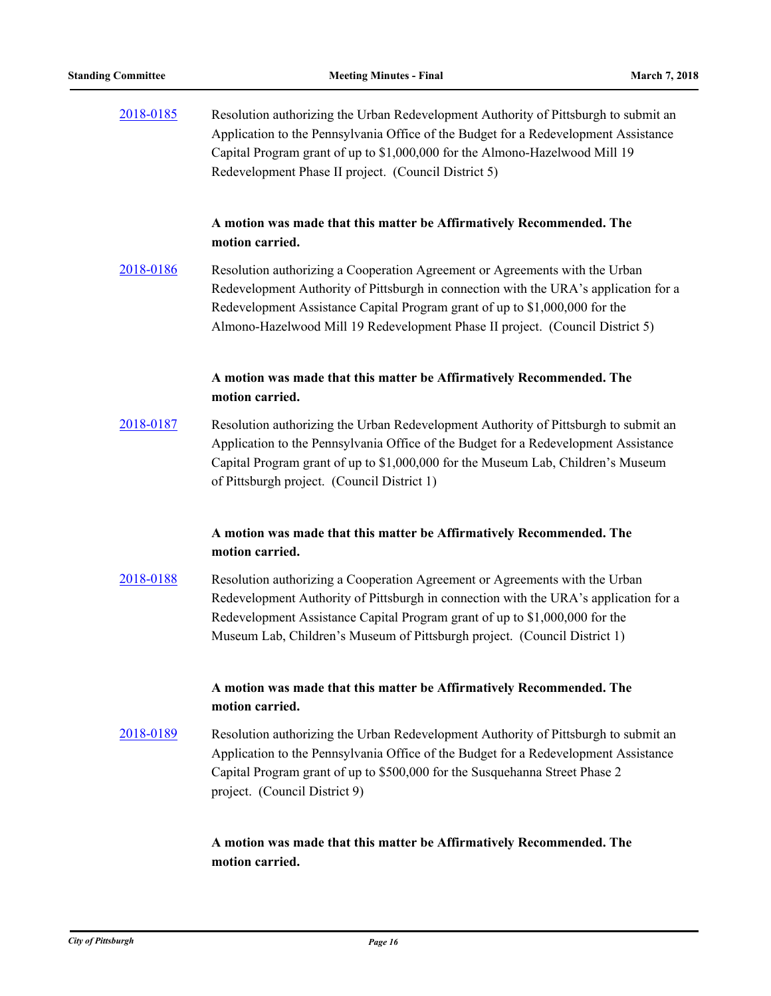| 2018-0185 | Resolution authorizing the Urban Redevelopment Authority of Pittsburgh to submit an<br>Application to the Pennsylvania Office of the Budget for a Redevelopment Assistance<br>Capital Program grant of up to \$1,000,000 for the Almono-Hazelwood Mill 19<br>Redevelopment Phase II project. (Council District 5)                   |
|-----------|-------------------------------------------------------------------------------------------------------------------------------------------------------------------------------------------------------------------------------------------------------------------------------------------------------------------------------------|
|           | A motion was made that this matter be Affirmatively Recommended. The<br>motion carried.                                                                                                                                                                                                                                             |
| 2018-0186 | Resolution authorizing a Cooperation Agreement or Agreements with the Urban<br>Redevelopment Authority of Pittsburgh in connection with the URA's application for a<br>Redevelopment Assistance Capital Program grant of up to \$1,000,000 for the<br>Almono-Hazelwood Mill 19 Redevelopment Phase II project. (Council District 5) |
|           | A motion was made that this matter be Affirmatively Recommended. The<br>motion carried.                                                                                                                                                                                                                                             |
| 2018-0187 | Resolution authorizing the Urban Redevelopment Authority of Pittsburgh to submit an<br>Application to the Pennsylvania Office of the Budget for a Redevelopment Assistance<br>Capital Program grant of up to \$1,000,000 for the Museum Lab, Children's Museum<br>of Pittsburgh project. (Council District 1)                       |
|           | A motion was made that this matter be Affirmatively Recommended. The<br>motion carried.                                                                                                                                                                                                                                             |
| 2018-0188 | Resolution authorizing a Cooperation Agreement or Agreements with the Urban<br>Redevelopment Authority of Pittsburgh in connection with the URA's application for a<br>Redevelopment Assistance Capital Program grant of up to \$1,000,000 for the<br>Museum Lab, Children's Museum of Pittsburgh project. (Council District 1)     |
|           | A motion was made that this matter be Affirmatively Recommended. The<br>motion carried.                                                                                                                                                                                                                                             |
| 2018-0189 | Resolution authorizing the Urban Redevelopment Authority of Pittsburgh to submit an<br>Application to the Pennsylvania Office of the Budget for a Redevelopment Assistance<br>Capital Program grant of up to \$500,000 for the Susquehanna Street Phase 2<br>project. (Council District 9)                                          |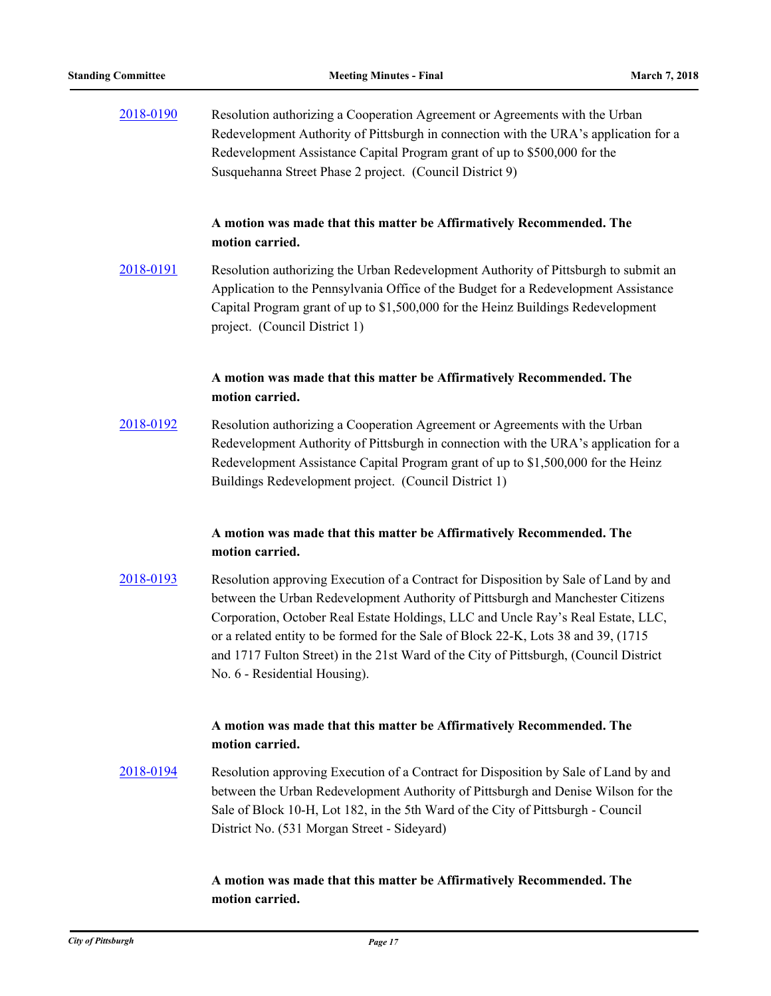| 2018-0190 | Resolution authorizing a Cooperation Agreement or Agreements with the Urban          |
|-----------|--------------------------------------------------------------------------------------|
|           | Redevelopment Authority of Pittsburgh in connection with the URA's application for a |
|           | Redevelopment Assistance Capital Program grant of up to \$500,000 for the            |
|           | Susquehanna Street Phase 2 project. (Council District 9)                             |

[2018-0191](http://pittsburgh.legistar.com/gateway.aspx?m=l&id=/matter.aspx?key=22490) Resolution authorizing the Urban Redevelopment Authority of Pittsburgh to submit an Application to the Pennsylvania Office of the Budget for a Redevelopment Assistance Capital Program grant of up to \$1,500,000 for the Heinz Buildings Redevelopment project. (Council District 1)

#### **A motion was made that this matter be Affirmatively Recommended. The motion carried.**

[2018-0192](http://pittsburgh.legistar.com/gateway.aspx?m=l&id=/matter.aspx?key=22491) Resolution authorizing a Cooperation Agreement or Agreements with the Urban Redevelopment Authority of Pittsburgh in connection with the URA's application for a Redevelopment Assistance Capital Program grant of up to \$1,500,000 for the Heinz Buildings Redevelopment project. (Council District 1)

## **A motion was made that this matter be Affirmatively Recommended. The motion carried.**

[2018-0193](http://pittsburgh.legistar.com/gateway.aspx?m=l&id=/matter.aspx?key=22492) Resolution approving Execution of a Contract for Disposition by Sale of Land by and between the Urban Redevelopment Authority of Pittsburgh and Manchester Citizens Corporation, October Real Estate Holdings, LLC and Uncle Ray's Real Estate, LLC, or a related entity to be formed for the Sale of Block 22-K, Lots 38 and 39, (1715 and 1717 Fulton Street) in the 21st Ward of the City of Pittsburgh, (Council District No. 6 - Residential Housing).

#### **A motion was made that this matter be Affirmatively Recommended. The motion carried.**

[2018-0194](http://pittsburgh.legistar.com/gateway.aspx?m=l&id=/matter.aspx?key=22493) Resolution approving Execution of a Contract for Disposition by Sale of Land by and between the Urban Redevelopment Authority of Pittsburgh and Denise Wilson for the Sale of Block 10-H, Lot 182, in the 5th Ward of the City of Pittsburgh - Council District No. (531 Morgan Street - Sideyard)